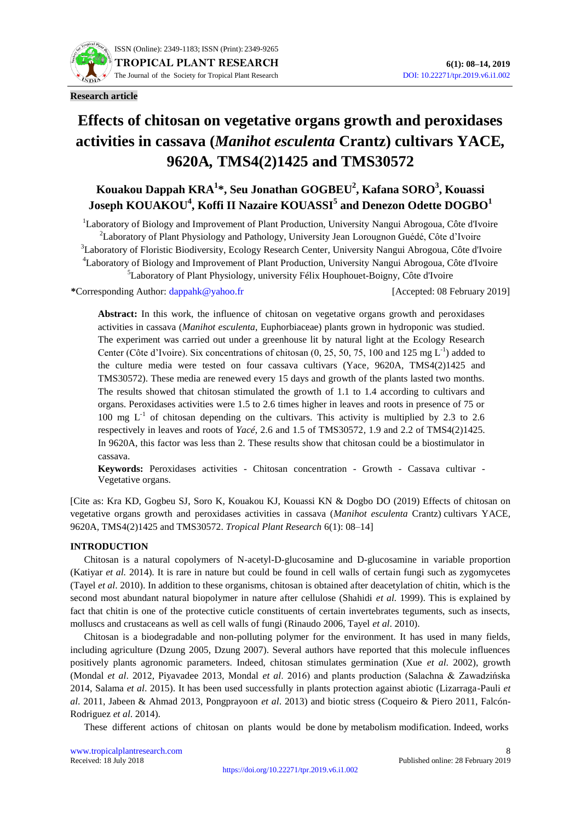

# **Effects of chitosan on vegetative organs growth and peroxidases activities in cassava (***Manihot esculenta* **Crantz) cultivars YACE***,*  **9620A***,* **TMS4(2)1425 and TMS30572**

# **Kouakou Dappah KRA<sup>1</sup> \*, Seu Jonathan GOGBEU<sup>2</sup> , Kafana SORO<sup>3</sup> , Kouassi Joseph KOUAKOU<sup>4</sup> , Koffi II Nazaire KOUASSI<sup>5</sup> and Denezon Odette DOGBO<sup>1</sup>**

<sup>1</sup>Laboratory of Biology and Improvement of Plant Production, University Nangui Abrogoua, Côte d'Ivoire <sup>2</sup>Laboratory of Plant Physiology and Pathology, University Jean Lorougnon Guédé, Côte d'Ivoire <sup>3</sup>Laboratory of Floristic Biodiversity, Ecology Research Center, University Nangui Abrogoua, Côte d'Ivoire <sup>4</sup>Laboratory of Biology and Improvement of Plant Production, University Nangui Abrogoua, Côte d'Ivoire <sup>5</sup>Laboratory of Plant Physiology, university Félix Houphouet-Boigny, Côte d'Ivoire

**\***Corresponding Author: [dappahk@yahoo.fr](mailto:dappahk@yahoo.fr) [Accepted: 08 February 2019]

Abstract: In this work, the influence of chitosan on vegetative organs growth and peroxidases activities in cassava (*Manihot esculenta*, Euphorbiaceae) plants grown in hydroponic was studied. The experiment was carried out under a greenhouse lit by natural light at the Ecology Research Center (Côte d'Ivoire). Six concentrations of chitosan  $(0, 25, 50, 75, 100$  and  $125 \text{ mg } L^{-1}$ ) added to the culture media were tested on four cassava cultivars (Yace*,* 9620A*,* TMS4(2)1425 and TMS30572). These media are renewed every 15 days and growth of the plants lasted two months. The results showed that chitosan stimulated the growth of 1.1 to 1.4 according to cultivars and organs. Peroxidases activities were 1.5 to 2.6 times higher in leaves and roots in presence of 75 or 100 mg  $L^{-1}$  of chitosan depending on the cultivars. This activity is multiplied by 2.3 to 2.6 respectively in leaves and roots of *Yacé*, 2.6 and 1.5 of TMS30572*,* 1.9 and 2.2 of TMS4(2)1425. In 9620A, this factor was less than 2. These results show that chitosan could be a biostimulator in cassava.

**Keywords:** Peroxidases activities - Chitosan concentration - Growth - Cassava cultivar - Vegetative organs.

[Cite as: Kra KD, Gogbeu SJ, Soro K, Kouakou KJ, Kouassi KN & Dogbo DO (2019) Effects of chitosan on vegetative organs growth and peroxidases activities in cassava (*Manihot esculenta* Crantz) cultivars YACE*,*  9620A*,* TMS4(2)1425 and TMS30572. *Tropical Plant Research* 6(1): 08–14]

# **INTRODUCTION**

Chitosan is a natural copolymers of N-acetyl-D-glucosamine and D-glucosamine in variable proportion (Katiyar *et al.* 2014). It is rare in nature but could be found in cell walls of certain fungi such as zygomycetes (Tayel *et al*. 2010). In addition to these organisms, chitosan is obtained after deacetylation of chitin, which is the second most abundant natural biopolymer in nature after cellulose (Shahidi *et al.* 1999). This is explained by fact that chitin is one of the protective cuticle constituents of certain invertebrates teguments, such as insects, molluscs and crustaceans as well as cell walls of fungi (Rinaudo 2006, Tayel *et al*. 2010).

Chitosan is a biodegradable and non-polluting polymer for the environment. It has used in many fields, including agriculture (Dzung 2005, Dzung 2007). Several authors have reported that this molecule influences positively plants agronomic parameters. Indeed, chitosan stimulates germination (Xue *et al*. 2002), growth (Mondal *et al*. 2012, Piyavadee 2013, Mondal *et al*. 2016) and plants production (Salachna & Zawadzińska 2014, Salama *et al*. 2015). It has been used successfully in plants protection against abiotic (Lizarraga-Pauli *et al*. 2011, Jabeen & Ahmad 2013, Pongprayoon *et al*. 2013) and biotic stress (Coqueiro & Piero 2011, Falcón-Rodriguez *et al*. 2014).

These different actions of chitosan on plants would be done by metabolism modification. Indeed, works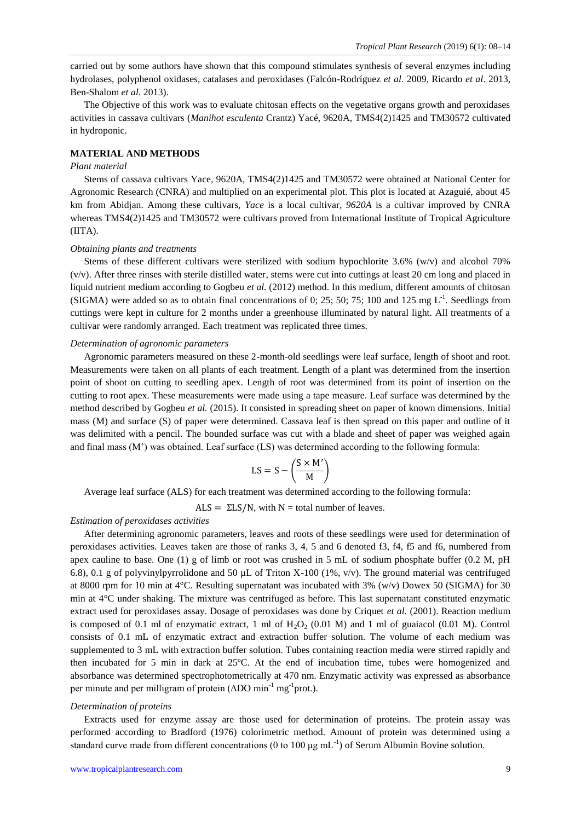carried out by some authors have shown that this compound stimulates synthesis of several enzymes including hydrolases, polyphenol oxidases, catalases and peroxidases (Falcón-Rodríguez *et al*. 2009, Ricardo *et al*. 2013, Ben-Shalom *et al*. 2013).

The Objective of this work was to evaluate chitosan effects on the vegetative organs growth and peroxidases activities in cassava cultivars (*Manihot esculenta* Crantz) Yacé, 9620A*,* TMS4(2)1425 and TM30572 cultivated in hydroponic.

# **MATERIAL AND METHODS**

# *Plant material*

Stems of cassava cultivars Yace, 9620A, TMS4(2)1425 and TM30572 were obtained at National Center for Agronomic Research (CNRA) and multiplied on an experimental plot. This plot is located at Azaguié, about 45 km from Abidjan. Among these cultivars, *Yace* is a local cultivar, *9620A* is a cultivar improved by CNRA whereas TMS4(2)1425 and TM30572 were cultivars proved from International Institute of Tropical Agriculture (IITA).

## *Obtaining plants and treatments*

Stems of these different cultivars were sterilized with sodium hypochlorite 3.6% (w/v) and alcohol 70% (v/v). After three rinses with sterile distilled water, stems were cut into cuttings at least 20 cm long and placed in liquid nutrient medium according to Gogbeu *et al.* (2012) method. In this medium, different amounts of chitosan (SIGMA) were added so as to obtain final concentrations of 0; 25; 50; 75; 100 and 125 mg  $L^{-1}$ . Seedlings from cuttings were kept in culture for 2 months under a greenhouse illuminated by natural light. All treatments of a cultivar were randomly arranged. Each treatment was replicated three times.

#### *Determination of agronomic parameters*

Agronomic parameters measured on these 2-month-old seedlings were leaf surface, length of shoot and root. Measurements were taken on all plants of each treatment. Length of a plant was determined from the insertion point of shoot on cutting to seedling apex. Length of root was determined from its point of insertion on the cutting to root apex. These measurements were made using a tape measure. Leaf surface was determined by the method described by Gogbeu *et al.* (2015). It consisted in spreading sheet on paper of known dimensions. Initial mass (M) and surface (S) of paper were determined. Cassava leaf is then spread on this paper and outline of it was delimited with a pencil. The bounded surface was cut with a blade and sheet of paper was weighed again and final mass (M') was obtained. Leaf surface (LS) was determined according to the following formula:

$$
LS = S - \left(\frac{S \times M'}{M}\right)
$$

Average leaf surface (ALS) for each treatment was determined according to the following formula:

 $ALS = \Sigma LS/N$ , with N = total number of leaves.

# *Estimation of peroxidases activities*

After determining agronomic parameters, leaves and roots of these seedlings were used for determination of peroxidases activities. Leaves taken are those of ranks 3, 4, 5 and 6 denoted f3, f4, f5 and f6, numbered from apex cauline to base. One (1) g of limb or root was crushed in 5 mL of sodium phosphate buffer (0.2 M, pH 6.8), 0.1 g of polyvinylpyrrolidone and 50  $\mu$ L of Triton X-100 (1%, v/v). The ground material was centrifuged at 8000 rpm for 10 min at 4°C. Resulting supernatant was incubated with 3% (w/v) Dowex 50 (SIGMA) for 30 min at 4°C under shaking. The mixture was centrifuged as before. This last supernatant constituted enzymatic extract used for peroxidases assay. Dosage of peroxidases was done by Criquet *et al.* (2001). Reaction medium is composed of 0.1 ml of enzymatic extract, 1 ml of  $H_2O_2$  (0.01 M) and 1 ml of guaiacol (0.01 M). Control consists of 0.1 mL of enzymatic extract and extraction buffer solution. The volume of each medium was supplemented to 3 mL with extraction buffer solution. Tubes containing reaction media were stirred rapidly and then incubated for 5 min in dark at 25ºC. At the end of incubation time, tubes were homogenized and absorbance was determined spectrophotometrically at 470 nm. Enzymatic activity was expressed as absorbance per minute and per milligram of protein  $($ ΔDO min<sup>-1</sup> mg<sup>-1</sup>prot.).

#### *Determination of proteins*

Extracts used for enzyme assay are those used for determination of proteins. The protein assay was performed according to Bradford (1976) colorimetric method. Amount of protein was determined using a standard curve made from different concentrations (0 to 100  $\mu$ g mL<sup>-1</sup>) of Serum Albumin Bovine solution.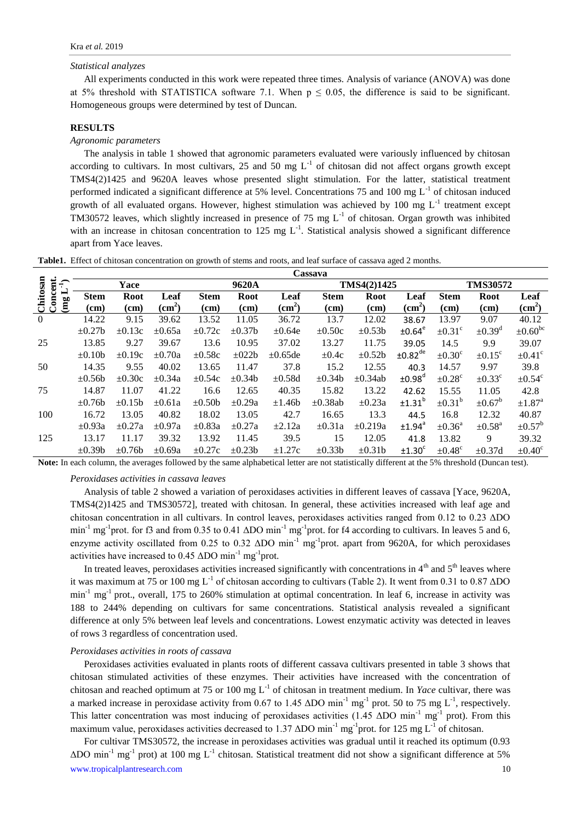#### *Statistical analyzes*

All experiments conducted in this work were repeated three times. Analysis of variance (ANOVA) was done at 5% threshold with STATISTICA software 7.1. When  $p \le 0.05$ , the difference is said to be significant. Homogeneous groups were determined by test of Duncan.

# **RESULTS**

# *Agronomic parameters*

The analysis in table 1 showed that agronomic parameters evaluated were variously influenced by chitosan according to cultivars. In most cultivars, 25 and 50 mg  $L^{-1}$  of chitosan did not affect organs growth except TMS4(2)1425 and 9620A leaves whose presented slight stimulation. For the latter, statistical treatment performed indicated a significant difference at 5% level. Concentrations 75 and 100 mg  $L^{-1}$  of chitosan induced growth of all evaluated organs. However, highest stimulation was achieved by 100 mg  $L^{-1}$  treatment except TM30572 leaves, which slightly increased in presence of 75 mg  $L^{-1}$  of chitosan. Organ growth was inhibited with an increase in chitosan concentration to 125 mg  $L^{-1}$ . Statistical analysis showed a significant difference apart from Yace leaves.

|  |  | Table1. Effect of chitosan concentration on growth of stems and roots, and leaf surface of cassava aged 2 months. |  |
|--|--|-------------------------------------------------------------------------------------------------------------------|--|
|  |  |                                                                                                                   |  |

|                                      | Cassava      |             |                    |             |              |                    |              |              |                       |                         |                         |                         |  |
|--------------------------------------|--------------|-------------|--------------------|-------------|--------------|--------------------|--------------|--------------|-----------------------|-------------------------|-------------------------|-------------------------|--|
| $\widehat{+}$                        | Yace         |             |                    | 9620A       |              |                    |              | TMS4(2)1425  |                       |                         | <b>TMS30572</b>         |                         |  |
| oncent.<br>Chitosan<br>Concent.<br>⊨ | <b>Stem</b>  | Root        | Leaf               | <b>Stem</b> | <b>Root</b>  | Leaf               | <b>Stem</b>  | <b>Root</b>  | Leaf                  | <b>Stem</b>             | <b>Root</b>             | Leaf                    |  |
| (mg                                  | (cm)         | (cm)        | (cm <sup>2</sup> ) | (cm)        | (cm)         | (cm <sup>2</sup> ) | (cm)         | (cm)         | $\text{(cm}^2)$       | (cm)                    | (cm)                    | $\text{(cm}^2)$         |  |
| $\mathbf{0}$                         | 14.22        | 9.15        | 39.62              | 13.52       | 11.05        | 36.72              | 13.7         | 12.02        | 38.67                 | 13.97                   | 9.07                    | 40.12                   |  |
|                                      | $\pm 0.27$ b | $\pm 0.13c$ | $\pm 0.65a$        | $\pm 0.72c$ | $\pm 0.37$ b | $\pm 0.64e$        | $\pm 0.50c$  | $\pm 0.53b$  | ±0.64 <sup>e</sup>    | $\pm 0.31^{\circ}$      | $\pm 0.39$ <sup>d</sup> | $\pm 0.60^{\rm bc}$     |  |
| 25                                   | 13.85        | 9.27        | 39.67              | 13.6        | 10.95        | 37.02              | 13.27        | 11.75        | 39.05                 | 14.5                    | 9.9                     | 39.07                   |  |
|                                      | $\pm 0.10b$  | $\pm 0.19c$ | $\pm 0.70a$        | $\pm 0.58c$ | $\pm 022b$   | $\pm 0.65$ de      | $\pm 0.4c$   | $\pm 0.52b$  | $±0.82$ <sup>de</sup> | $\pm 0.30^{\circ}$      | $\pm 0.15^{\circ}$      | $\pm 0.41^{\circ}$      |  |
| 50                                   | 14.35        | 9.55        | 40.02              | 13.65       | 11.47        | 37.8               | 15.2         | 12.55        | 40.3                  | 14.57                   | 9.97                    | 39.8                    |  |
|                                      | $\pm 0.56b$  | $\pm 0.30c$ | $\pm 0.34a$        | $\pm 0.54c$ | $\pm 0.34b$  | $\pm 0.58d$        | $\pm 0.34b$  | $\pm 0.34ab$ | ±0.98 <sup>d</sup>    | $\pm 0.28$ <sup>c</sup> | $\pm 0.33^{\circ}$      | $\pm 0.54^{\circ}$      |  |
| 75                                   | 14.87        | 11.07       | 41.22              | 16.6        | 12.65        | 40.35              | 15.82        | 13.22        | 42.62                 | 15.55                   | 11.05                   | 42.8                    |  |
|                                      | $\pm 0.76b$  | $\pm 0.15b$ | $\pm 0.61a$        | $\pm 0.50b$ | $\pm 0.29a$  | $\pm 1.46b$        | $\pm 0.38ab$ | $\pm 0.23a$  | ±1.31 <sup>b</sup>    | $\pm 0.31^{\rm b}$      | $\pm 0.67^{\rm b}$      | $\pm 1.87$ <sup>a</sup> |  |
| 100                                  | 16.72        | 13.05       | 40.82              | 18.02       | 13.05        | 42.7               | 16.65        | 13.3         | 44.5                  | 16.8                    | 12.32                   | 40.87                   |  |
|                                      | $\pm 0.93a$  | $\pm 0.27a$ | $\pm 0.97a$        | $\pm 0.83a$ | $\pm 0.27a$  | $\pm 2.12a$        | $\pm 0.31a$  | $\pm 0.219a$ | ±1.94 <sup>a</sup>    | $\pm 0.36^{\circ}$      | $\pm 0.58$ <sup>a</sup> | $\pm 0.57^{\rm b}$      |  |
| 125                                  | 13.17        | 11.17       | 39.32              | 13.92       | 11.45        | 39.5               | 15           | 12.05        | 41.8                  | 13.82                   | 9                       | 39.32                   |  |
|                                      | $\pm 0.39b$  | $\pm 0.76b$ | $\pm 0.69a$        | $\pm 0.27c$ | $\pm 0.23b$  | $\pm 1.27c$        | $\pm 0.33b$  | $\pm 0.31$ b | ±1.30 <sup>c</sup>    | $\pm 0.48^{\circ}$      | $\pm 0.37d$             | $\pm 0.40^{\circ}$      |  |

**Note:** In each column, the averages followed by the same alphabetical letter are not statistically different at the 5% threshold (Duncan test).

#### *Peroxidases activities in cassava leaves*

Analysis of table 2 showed a variation of peroxidases activities in different leaves of cassava [Yace, 9620A, TMS4(2)1425 and TMS30572], treated with chitosan. In general, these activities increased with leaf age and chitosan concentration in all cultivars. In control leaves, peroxidases activities ranged from 0.12 to 0.23 ΔDO min<sup>-1</sup> mg<sup>-1</sup>prot. for f3 and from 0.35 to 0.41  $\Delta$ DO min<sup>-1</sup> mg<sup>-1</sup>prot. for f4 according to cultivars. In leaves 5 and 6, enzyme activity oscillated from 0.25 to 0.32  $\Delta$ DO min<sup>-1</sup> mg<sup>-1</sup>prot. apart from 9620A, for which peroxidases activities have increased to 0.45  $\Delta$ DO min<sup>-1</sup> mg<sup>-1</sup>prot.

In treated leaves, peroxidases activities increased significantly with concentrations in  $4<sup>th</sup>$  and  $5<sup>th</sup>$  leaves where it was maximum at 75 or 100 mg L<sup>-1</sup> of chitosan according to cultivars (Table 2). It went from 0.31 to 0.87  $\Delta$ DO  $min<sup>-1</sup>$  mg<sup>-1</sup> prot., overall, 175 to 260% stimulation at optimal concentration. In leaf 6, increase in activity was 188 to 244% depending on cultivars for same concentrations. Statistical analysis revealed a significant difference at only 5% between leaf levels and concentrations. Lowest enzymatic activity was detected in leaves of rows 3 regardless of concentration used.

# *Peroxidases activities in roots of cassava*

Peroxidases activities evaluated in plants roots of different cassava cultivars presented in table 3 shows that chitosan stimulated activities of these enzymes. Their activities have increased with the concentration of chitosan and reached optimum at 75 or 100 mg L<sup>-1</sup> of chitosan in treatment medium. In *Yace* cultivar, there was a marked increase in peroxidase activity from 0.67 to 1.45  $\Delta$ DO min<sup>-1</sup> mg<sup>-1</sup> prot. 50 to 75 mg L<sup>-1</sup>, respectively. This latter concentration was most inducing of peroxidases activities (1.45  $\Delta$ DO min<sup>-1</sup> mg<sup>-1</sup> prot). From this maximum value, peroxidases activities decreased to 1.37  $\Delta$ DO min<sup>-1</sup> mg<sup>-1</sup>prot. for 125 mg L<sup>-1</sup> of chitosan.

www.tropicalplantresearch.com 10 For cultivar TMS30572, the increase in peroxidases activities was gradual until it reached its optimum (0.93  $\Delta$ DO min<sup>-1</sup> mg<sup>-1</sup> prot) at 100 mg L<sup>-1</sup> chitosan. Statistical treatment did not show a significant difference at 5%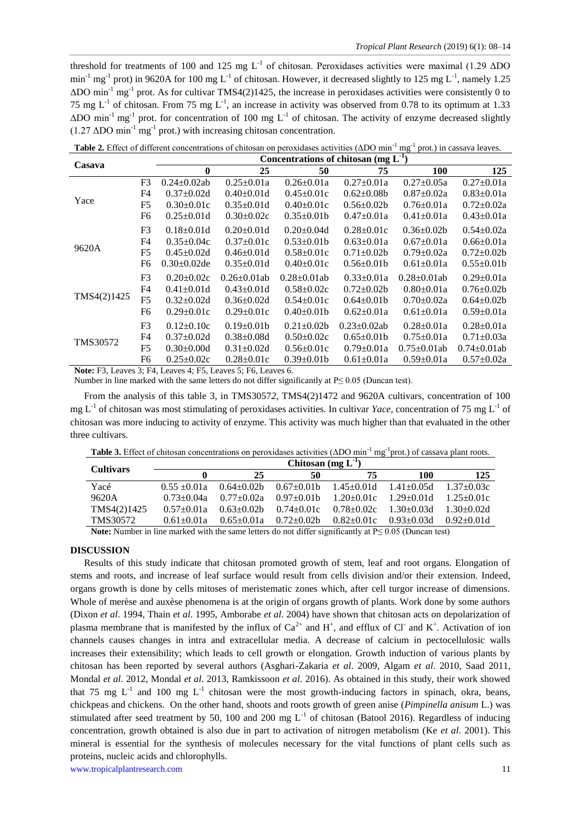threshold for treatments of 100 and 125 mg  $L^{-1}$  of chitosan. Peroxidases activities were maximal (1.29  $\Delta$ DO  $\min^{-1}$  mg<sup>-1</sup> prot) in 9620A for 100 mg L<sup>-1</sup> of chitosan. However, it decreased slightly to 125 mg L<sup>-1</sup>, namely 1.25  $\Delta$ DO min<sup>-1</sup> mg<sup>-1</sup> prot. As for cultivar TMS4(2)1425, the increase in peroxidases activities were consistently 0 to 75 mg  $L^{-1}$  of chitosan. From 75 mg  $L^{-1}$ , an increase in activity was observed from 0.78 to its optimum at 1.33  $\Delta$ DO min<sup>-1</sup> mg<sup>-1</sup> prot. for concentration of 100 mg L<sup>-1</sup> of chitosan. The activity of enzyme decreased slightly  $(1.27 \Delta DO \text{ min}^{-1} \text{ mg}^{-1} \text{ prot.})$  with increasing chitosan concentration.

**Table 2.** Effect of different concentrations of chitosan on peroxidases activities (ΔDO min<sup>-1</sup> mg<sup>-1</sup> prot.) in cassava leaves.

| Casava      |                | Concentrations of chitosan (mg $L^{-1}$ ) |                    |                    |                    |                    |                    |  |  |
|-------------|----------------|-------------------------------------------|--------------------|--------------------|--------------------|--------------------|--------------------|--|--|
|             |                | $\mathbf{0}$                              | 25                 | 50                 | 75                 | <b>100</b>         | 125                |  |  |
|             | F <sub>3</sub> | $0.24 \pm 0.02$ ab                        | $0.25 \pm 0.01a$   | $0.26 \pm 0.01a$   | $0.27 \pm 0.01a$   | $0.27 \pm 0.05a$   | $0.27 \pm 0.01a$   |  |  |
|             | F <sub>4</sub> | $0.37 \pm 0.02d$                          | $0.40 \pm 0.01 d$  | $0.45 \pm 0.01c$   | $0.62 \pm 0.08b$   | $0.87 \pm 0.02a$   | $0.83 \pm 0.01a$   |  |  |
| Yace        | F <sub>5</sub> | $0.30 \pm 0.01c$                          | $0.35 \pm 0.01d$   | $0.40 \pm 0.01c$   | $0.56 \pm 0.02b$   | $0.76 \pm 0.01a$   | $0.72 \pm 0.02a$   |  |  |
|             | F <sub>6</sub> | $0.25 \pm 0.01d$                          | $0.30+0.02c$       | $0.35+0.01b$       | $0.47+0.01a$       | $0.41 \pm 0.01a$   | $0.43 \pm 0.01a$   |  |  |
|             | F <sub>3</sub> | $0.18 \pm 0.01d$                          | $0.20 \pm 0.01$ d  | $0.20 \pm 0.04d$   | $0.28 \pm 0.01c$   | $0.36 \pm 0.02b$   | $0.54 \pm 0.02a$   |  |  |
|             | F <sub>4</sub> | $0.35 \pm 0.04c$                          | $0.37 \pm 0.01c$   | $0.53 \pm 0.01$ b  | $0.63 \pm 0.01a$   | $0.67 \pm 0.01a$   | $0.66 \pm 0.01a$   |  |  |
| 9620A       | F <sub>5</sub> | $0.45 \pm 0.02d$                          | $0.46 \pm 0.01d$   | $0.58 \pm 0.01c$   | $0.71 \pm 0.02b$   | $0.79 \pm 0.02a$   | $0.72 \pm 0.02b$   |  |  |
|             | F <sub>6</sub> | $0.30 \pm 0.02$ de                        | $0.35 \pm 0.01d$   | $0.40 \pm 0.01c$   | $0.56 \pm 0.01$    | $0.61 \pm 0.01a$   | $0.55 \pm 0.01$    |  |  |
|             | F <sub>3</sub> | $0.20 \pm 0.02c$                          | $0.26 \pm 0.01$ ab | $0.28 \pm 0.01$ ab | $0.33 \pm 0.01a$   | $0.28 \pm 0.01$ ab | $0.29 \pm 0.01a$   |  |  |
|             | F <sub>4</sub> | $0.41 \pm 0.01$ d                         | $0.43 \pm 0.01d$   | $0.58 \pm 0.02c$   | $0.72 \pm 0.02b$   | $0.80 \pm 0.01a$   | $0.76 \pm 0.02b$   |  |  |
| TMS4(2)1425 | F <sub>5</sub> | $0.32 \pm 0.02d$                          | $0.36 \pm 0.02d$   | $0.54 \pm 0.01c$   | $0.64 \pm 0.01$    | $0.70 \pm 0.02a$   | $0.64 \pm 0.02b$   |  |  |
|             | F <sub>6</sub> | $0.29 \pm 0.01c$                          | $0.29 \pm 0.01c$   | $0.40 \pm 0.01$    | $0.62 \pm 0.01a$   | $0.61 \pm 0.01a$   | $0.59 \pm 0.01a$   |  |  |
|             | F <sub>3</sub> | $0.12{\pm}0.10c$                          | $0.19 \pm 0.01$ b  | $0.21 \pm 0.02$    | $0.23 \pm 0.02$ ab | $0.28 \pm 0.01a$   | $0.28 \pm 0.01a$   |  |  |
| TMS30572    | F4             | $0.37 \pm 0.02d$                          | $0.38 \pm 0.08d$   | $0.50 \pm 0.02c$   | $0.65 \pm 0.01$    | $0.75 \pm 0.01a$   | $0.71 \pm 0.03a$   |  |  |
|             | F <sub>5</sub> | $0.30 \pm 0.00d$                          | $0.31 \pm 0.02d$   | $0.56 \pm 0.01c$   | $0.79 \pm 0.01a$   | $0.75 \pm 0.01$ ab | $0.74 \pm 0.01$ ab |  |  |
|             | F6             | $0.25 \pm 0.02c$                          | $0.28 \pm 0.01c$   | $0.39 \pm 0.01 b$  | $0.61 \pm 0.01a$   | $0.59 \pm 0.01a$   | $0.57 \pm 0.02a$   |  |  |

**Note:** F3, Leaves 3; F4, Leaves 4; F5, Leaves 5; F6, Leaves 6.

Number in line marked with the same letters do not differ significantly at P≤ 0.05 (Duncan test).

From the analysis of this table 3, in TMS3057*2*, TMS4(2)1472 and 9620A cultivars, concentration of 100 mg  $L^{-1}$  of chitosan was most stimulating of peroxidases activities. In cultivar *Yace*, concentration of 75 mg  $L^{-1}$  of chitosan was more inducing to activity of enzyme. This activity was much higher than that evaluated in the other three cultivars.

|--|

| <b>Cultivars</b>                                                                                                                                                                                                                                                                                                                                                                                                                                             | Chitosan $(mg L-1)$ |                   |                   |                  |                   |                  |  |  |  |
|--------------------------------------------------------------------------------------------------------------------------------------------------------------------------------------------------------------------------------------------------------------------------------------------------------------------------------------------------------------------------------------------------------------------------------------------------------------|---------------------|-------------------|-------------------|------------------|-------------------|------------------|--|--|--|
|                                                                                                                                                                                                                                                                                                                                                                                                                                                              |                     | 25                | 50                | 75               | 100               | 125              |  |  |  |
| Yacé                                                                                                                                                                                                                                                                                                                                                                                                                                                         | $0.55 \pm 0.01a$    | $0.64 \pm 0.02$ b | $0.67 \pm 0.01$ b | $1.45 \pm 0.01d$ | $1.41 \pm 0.05d$  | $1.37 \pm 0.03c$ |  |  |  |
| 9620A                                                                                                                                                                                                                                                                                                                                                                                                                                                        | $0.73 + 0.04a$      | $0.77+0.02a$      | $0.97 \pm 0.01$ b | $1.20 \pm 0.01c$ | $1.29 \pm 0.01$ d | $1.25 \pm 0.01c$ |  |  |  |
| TMS4(2)1425                                                                                                                                                                                                                                                                                                                                                                                                                                                  | $0.57 \pm 0.01a$    | $0.63 \pm 0.02b$  | $0.74 \pm 0.01c$  | $0.78 \pm 0.02c$ | $1.30 \pm 0.03$ d | $1.30 + 0.02d$   |  |  |  |
| TMS30572                                                                                                                                                                                                                                                                                                                                                                                                                                                     | $0.61 + 0.01a$      | $0.65 \pm 0.01a$  | $0.72 \pm 0.02$ b | $0.82 \pm 0.01c$ | $0.93 \pm 0.03$ d | $0.92 + 0.01d$   |  |  |  |
| $\mathbf{M}_{\text{data}}$ , $\mathbf{M}_{\text{total}}$ , $\mathbf{M}_{\text{total}}$ , $\mathbf{M}_{\text{total}}$ , $\mathbf{M}_{\text{total}}$ , $\mathbf{M}_{\text{total}}$ , $\mathbf{M}_{\text{total}}$ , $\mathbf{M}_{\text{total}}$ , $\mathbf{M}_{\text{total}}$ , $\mathbf{M}_{\text{total}}$ , $\mathbf{M}_{\text{total}}$ , $\mathbf{M}_{\text{total}}$ , $\mathbf{M}_{\text{total}}$ , $\mathbf{M}_{\text{total}}$ , $\mathbf{M}_{\text{total$ |                     |                   |                   |                  |                   |                  |  |  |  |

**Note:** Number in line marked with the same letters do not differ significantly at P≤ 0.05 (Duncan test)

# **DISCUSSION**

Results of this study indicate that chitosan promoted growth of stem, leaf and root organs. Elongation of stems and roots, and increase of leaf surface would result from cells division and/or their extension. Indeed, organs growth is done by cells mitoses of meristematic zones which, after cell turgor increase of dimensions. Whole of merèse and auxèse phenomena is at the origin of organs growth of plants. Work done by some authors (Dixon *et al*. 1994, Thain *et al*. 1995, Amborabe *et al*. 2004) have shown that chitosan acts on depolarization of plasma membrane that is manifested by the influx of  $Ca^{2+}$  and  $H^+$ , and efflux of Cl and K<sup>+</sup>. Activation of ion channels causes changes in intra and extracellular media. A decrease of calcium in pectocellulosic walls increases their extensibility; which leads to cell growth or elongation. Growth induction of various plants by chitosan has been reported by several authors (Asghari-Zakaria *et al*. 2009, Algam *et al*. 2010, Saad 2011, Mondal *et al*. 2012, Mondal *et al*. 2013, Ramkissoon *et al*. 2016). As obtained in this study, their work showed that 75 mg  $L^{-1}$  and 100 mg  $L^{-1}$  chitosan were the most growth-inducing factors in spinach, okra, beans, chickpeas and chickens. On the other hand, shoots and roots growth of green anise (*Pimpinella anisum* L.) was stimulated after seed treatment by 50, 100 and 200 mg  $L^{-1}$  of chitosan (Batool 2016). Regardless of inducing concentration, growth obtained is also due in part to activation of nitrogen metabolism (Ke *et al*. 2001). This mineral is essential for the synthesis of molecules necessary for the vital functions of plant cells such as proteins, nucleic acids and chlorophylls.

www.tropicalplantresearch.com 11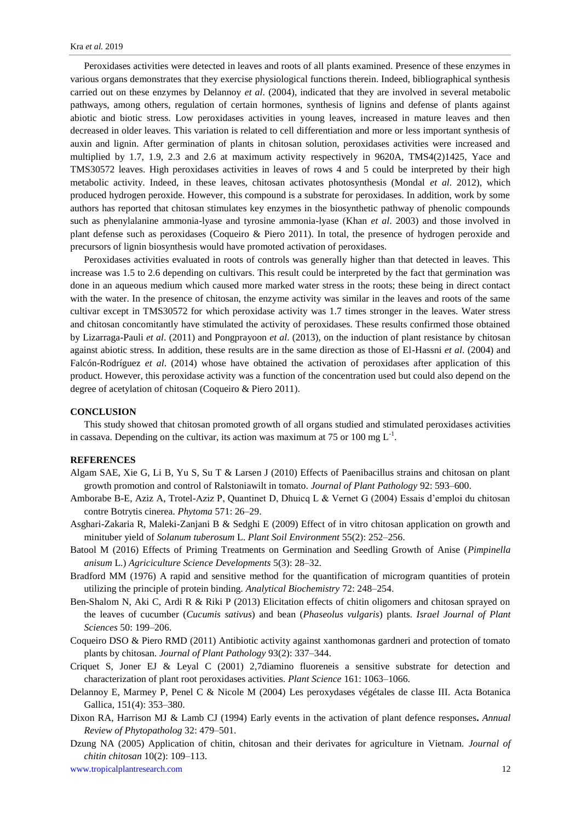Peroxidases activities were detected in leaves and roots of all plants examined. Presence of these enzymes in various organs demonstrates that they exercise physiological functions therein. Indeed, bibliographical synthesis carried out on these enzymes by Delannoy *et al*. (2004), indicated that they are involved in several metabolic pathways, among others, regulation of certain hormones, synthesis of lignins and defense of plants against abiotic and biotic stress. Low peroxidases activities in young leaves, increased in mature leaves and then decreased in older leaves. This variation is related to cell differentiation and more or less important synthesis of auxin and lignin. After germination of plants in chitosan solution, peroxidases activities were increased and multiplied by 1.7, 1.9, 2.3 and 2.6 at maximum activity respectively in 9620A, TMS4(2)1425, Yace and TMS30572 leaves. High peroxidases activities in leaves of rows 4 and 5 could be interpreted by their high metabolic activity. Indeed, in these leaves, chitosan activates photosynthesis (Mondal *et al*. 2012), which produced hydrogen peroxide. However, this compound is a substrate for peroxidases. In addition, work by some authors has reported that chitosan stimulates key enzymes in the biosynthetic pathway of phenolic compounds such as phenylalanine ammonia-lyase and tyrosine ammonia-lyase (Khan *et al*. 2003) and those involved in plant defense such as peroxidases (Coqueiro & Piero 2011). In total, the presence of hydrogen peroxide and precursors of lignin biosynthesis would have promoted activation of peroxidases.

Peroxidases activities evaluated in roots of controls was generally higher than that detected in leaves. This increase was 1.5 to 2.6 depending on cultivars. This result could be interpreted by the fact that germination was done in an aqueous medium which caused more marked water stress in the roots; these being in direct contact with the water. In the presence of chitosan, the enzyme activity was similar in the leaves and roots of the same cultivar except in TMS30572 for which peroxidase activity was 1.7 times stronger in the leaves. Water stress and chitosan concomitantly have stimulated the activity of peroxidases. These results confirmed those obtained by Lizarraga-Pauli *et al*. (2011) and Pongprayoon *et al*. (2013), on the induction of plant resistance by chitosan against abiotic stress. In addition, these results are in the same direction as those of El-Hassni *et al*. (2004) and Falcón-Rodríguez *et al*. (2014) whose have obtained the activation of peroxidases after application of this product. However, this peroxidase activity was a function of the concentration used but could also depend on the degree of acetylation of chitosan (Coqueiro & Piero 2011).

### **CONCLUSION**

This study showed that chitosan promoted growth of all organs studied and stimulated peroxidases activities in cassava. Depending on the cultivar, its action was maximum at 75 or 100 mg  $L^{-1}$ .

#### **REFERENCES**

- Algam SAE, Xie G, Li B, Yu S, Su T & Larsen J (2010) Effects of Paenibacillus strains and chitosan on plant growth promotion and control of Ralstoniawilt in tomato. *Journal of Plant Pathology* 92: 593–600.
- Amborabe B-E, Aziz A, Trotel-Aziz P, Quantinet D, Dhuicq L & Vernet G (2004) Essais d'emploi du chitosan contre Botrytis cinerea. *Phytoma* 571: 26–29.
- Asghari-Zakaria R, Maleki-Zanjani B & Sedghi E (2009) Effect of in vitro chitosan application on growth and minituber yield of *Solanum tuberosum* L. *Plant Soil Environment* 55(2): 252–256.
- Batool M (2016) Effects of Priming Treatments on Germination and Seedling Growth of Anise (*Pimpinella anisum* L.) *Agriciculture Science Developments* 5(3): 28–32.
- Bradford MM (1976) A rapid and sensitive method for the quantification of microgram quantities of protein utilizing the principle of protein binding. *Analytical Biochemistry* 72: 248–254.
- Ben-Shalom N, Aki C, Ardi R & Riki P (2013) Elicitation effects of chitin oligomers and chitosan sprayed on the leaves of cucumber (*Cucumis sativus*) and bean (*Phaseolus vulgaris*) plants. *Israel Journal of Plant Sciences* 50: 199–206.
- Coqueiro DSO & Piero RMD (2011) Antibiotic activity against xanthomonas gardneri and protection of tomato plants by chitosan. *Journal of Plant Pathology* 93(2): 337–344.
- Criquet S, Joner EJ & Leyal C (2001) 2,7diamino fluoreneis a sensitive substrate for detection and characterization of plant root peroxidases activities. *Plant Science* 161: 1063–1066.
- Delannoy E, Marmey P, Penel C & Nicole M (2004) Les peroxydases végétales de classe III. Acta Botanica Gallica, 151(4): 353–380.
- Dixon RA, Harrison MJ & Lamb CJ (1994) Early events in the activation of plant defence responses**.** *Annual Review of Phytopatholog* 32: 479–501.
- Dzung NA (2005) Application of chitin, chitosan and their derivates for agriculture in Vietnam. *Journal of chitin chitosan* 10(2): 109–113.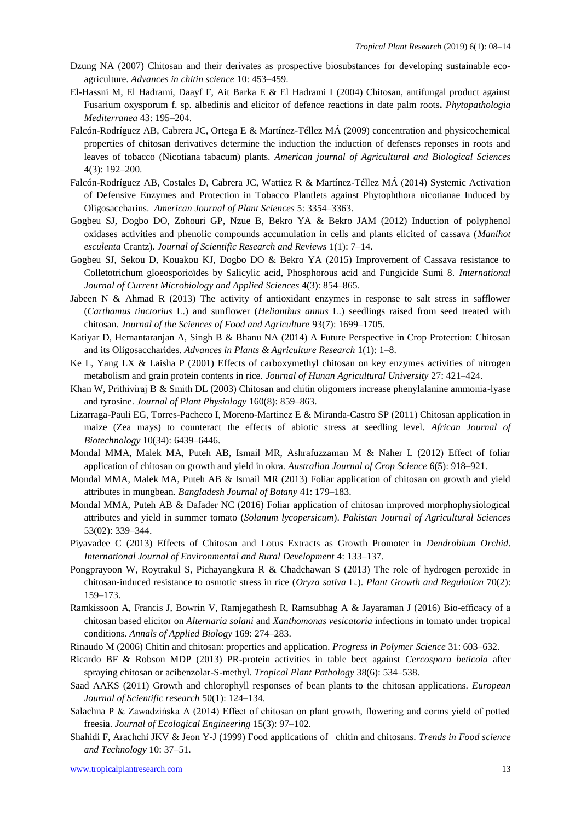- Dzung NA (2007) Chitosan and their derivates as prospective biosubstances for developing sustainable ecoagriculture. *Advances in chitin science* 10: 453–459.
- El-Hassni M, El Hadrami, Daayf F, Ait Barka E & El Hadrami I (2004) Chitosan, antifungal product against Fusarium oxysporum f. sp. albedinis and elicitor of defence reactions in date palm roots**.** *Phytopathologia Mediterranea* 43: 195–204.
- Falcón-Rodríguez AB, Cabrera JC, Ortega E & Martínez-Téllez MÁ (2009) concentration and physicochemical properties of chitosan derivatives determine the induction the induction of defenses reponses in roots and leaves of tobacco (Nicotiana tabacum) plants. *American journal of Agricultural and Biological Sciences* 4(3): 192–200.
- Falcón-Rodríguez AB, Costales D, Cabrera JC, Wattiez R & Martínez-Téllez MÁ (2014) Systemic Activation of Defensive Enzymes and Protection in Tobacco Plantlets against Phytophthora nicotianae Induced by Oligosaccharins. *American Journal of Plant Sciences* 5: 3354–3363.
- Gogbeu SJ, Dogbo DO, Zohouri GP, Nzue B, Bekro YA & Bekro JAM (2012) Induction of polyphenol oxidases activities and phenolic compounds accumulation in cells and plants elicited of cassava (*Manihot esculenta* Crantz). *Journal of Scientific Research and Reviews* 1(1): 7–14.
- Gogbeu SJ, Sekou D, Kouakou KJ, Dogbo DO & Bekro YA (2015) Improvement of Cassava resistance to Colletotrichum gloeosporioïdes by Salicylic acid, Phosphorous acid and Fungicide Sumi 8. *International Journal of Current Microbiology and Applied Sciences* 4(3): 854–865.
- Jabeen N & Ahmad R (2013) The activity of antioxidant enzymes in response to salt stress in safflower (*Carthamus tinctorius* L.) and sunflower (*Helianthus annus* L.) seedlings raised from seed treated with chitosan. *Journal of the Sciences of Food and Agriculture* 93(7): 1699–1705.
- Katiyar D, Hemantaranjan A, Singh B & Bhanu NA (2014) A Future Perspective in Crop Protection: Chitosan and its Oligosaccharides. *Advances in Plants & Agriculture Research* 1(1): 1–8.
- Ke L, Yang LX & Laisha P (2001) Effects of carboxymethyl chitosan on key enzymes activities of nitrogen metabolism and grain protein contents in rice. *Journal of Hunan Agricultural University* 27: 421–424.
- Khan W, Prithiviraj B & Smith DL (2003) Chitosan and chitin oligomers increase phenylalanine ammonia-lyase and tyrosine. *Journal of Plant Physiology* 160(8): 859–863.
- Lizarraga-Pauli EG, Torres-Pacheco I, Moreno-Martinez E & Miranda-Castro SP (2011) Chitosan application in maize (Zea mays) to counteract the effects of abiotic stress at seedling level. *African Journal of Biotechnology* 10(34): 6439–6446.
- Mondal MMA, Malek MA, Puteh AB, Ismail MR, Ashrafuzzaman M & Naher L (2012) Effect of foliar application of chitosan on growth and yield in okra. *Australian Journal of Crop Science* 6(5): 918–921.
- Mondal MMA, Malek MA, Puteh AB & Ismail MR (2013) Foliar application of chitosan on growth and yield attributes in mungbean. *Bangladesh Journal of Botany* 41: 179–183.
- Mondal MMA, Puteh AB & Dafader NC (2016) Foliar application of chitosan improved morphophysiological attributes and yield in summer tomato (*Solanum lycopersicum*). *Pakistan Journal of Agricultural Sciences* 53(02): 339–344.
- Piyavadee C (2013) Effects of Chitosan and Lotus Extracts as Growth Promoter in *Dendrobium Orchid*. *International Journal of Environmental and Rural Development* 4: 133–137.
- Pongprayoon W, Roytrakul S, Pichayangkura R & Chadchawan S (2013) The role of hydrogen peroxide in chitosan-induced resistance to osmotic stress in rice (*Oryza sativa* L.). *Plant Growth and Regulation* 70(2): 159–173.
- Ramkissoon A, Francis J, Bowrin V, Ramjegathesh R, Ramsubhag A & Jayaraman J (2016) Bio-efficacy of a chitosan based elicitor on *Alternaria solani* and *Xanthomonas vesicatoria* infections in tomato under tropical conditions. *Annals of Applied Biology* 169: 274–283.
- Rinaudo M (2006) Chitin and chitosan: properties and application*. Progress in Polymer Science* 31: 603–632.
- Ricardo BF & Robson MDP (2013) PR-protein activities in table beet against *Cercospora beticola* after spraying chitosan or acibenzolar-S-methyl. *Tropical Plant Pathology* 38(6): 534–538.
- Saad AAKS (2011) Growth and chlorophyll responses of bean plants to the chitosan applications. *European Journal of Scientific research* 50(1): 124–134.
- Salachna P & Zawadzińska A (2014) Effect of chitosan on plant growth, flowering and corms yield of potted freesia. *Journal of Ecological Engineering* 15(3): 97–102.
- Shahidi F, Arachchi JKV & Jeon Y-J (1999) Food applications of chitin and chitosans. *Trends in Food science and Technology* 10: 37–51.